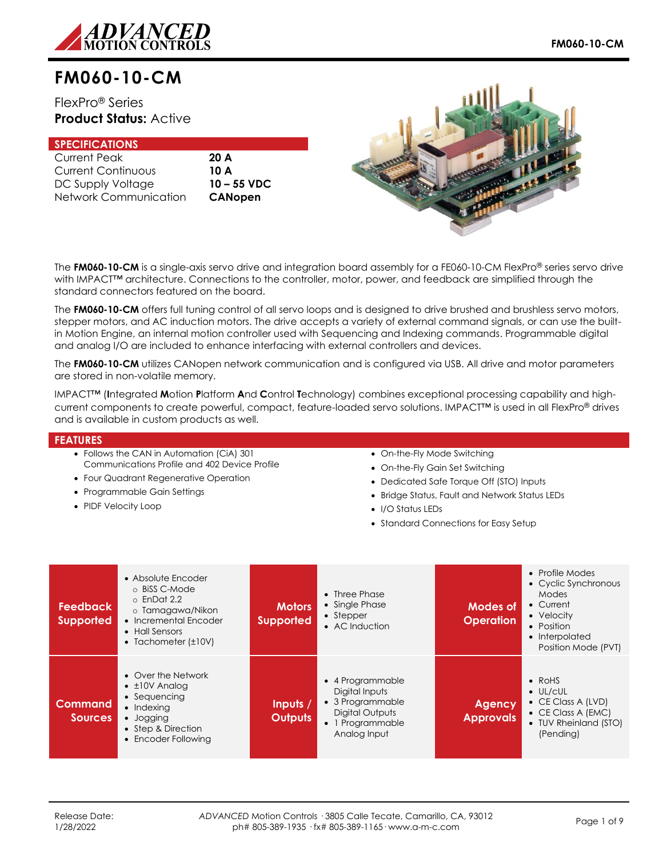

# **FM060-10-CM**

FlexPro® Series **Product Status:** Active

## **SPECIFICATIONS**

| <b>Current Peak</b>   |
|-----------------------|
| Current Continuous    |
| DC Supply Voltage     |
| Network Communication |

20 A 10 A DC Supply Voltage **10 – 55 VDC** CANopen



The **FM060-10-CM** is a single-axis servo drive and integration board assembly for a FE060-10-CM FlexPro® series servo drive with IMPACT<sup>™</sup> architecture. Connections to the controller, motor, power, and feedback are simplified through the standard connectors featured on the board.

The **FM060-10-CM** offers full tuning control of all servo loops and is designed to drive brushed and brushless servo motors, stepper motors, and AC induction motors. The drive accepts a variety of external command signals, or can use the builtin Motion Engine, an internal motion controller used with Sequencing and Indexing commands. Programmable digital and analog I/O are included to enhance interfacing with external controllers and devices.

The **FM060-10-CM** utilizes CANopen network communication and is configured via USB. All drive and motor parameters are stored in non-volatile memory.

IMPACT™ (**I**ntegrated **M**otion **P**latform **A**nd **C**ontrol **T**echnology) combines exceptional processing capability and highcurrent components to create powerful, compact, feature-loaded servo solutions. IMPACT™ is used in all FlexPro® drives and is available in custom products as well.

#### **FEATURES**

- Follows the CAN in Automation (CiA) 301 Communications Profile and 402 Device Profile
- Four Quadrant Regenerative Operation
- Programmable Gain Settings
- PIDF Velocity Loop
- On-the-Fly Mode Switching
- On-the-Fly Gain Set Switching
- Dedicated Safe Torque Off (STO) Inputs
- Bridge Status, Fault and Network Status LEDs
- I/O Status LEDs
- Standard Connections for Easy Setup

| <b>Feedback</b><br><b>Supported</b> | • Absolute Encoder<br>⊙ BiSS C-Mode<br>$\circ$ EnDat 2.2<br>o Tamagawa/Nikon<br>• Incremental Encoder<br>• Hall Sensors<br>• Tachometer $(\pm 10V)$ | <b>Motors</b><br><b>Supported</b> | $\bullet$ Three Phase<br>• Single Phase<br>$\bullet$ Stepper<br>• AC Induction                                | Modes of<br><b>Operation</b> | • Profile Modes<br>• Cyclic Synchronous<br>Modes<br>• Current<br>• Velocity<br>• Position<br>• Interpolated<br>Position Mode (PVT) |
|-------------------------------------|-----------------------------------------------------------------------------------------------------------------------------------------------------|-----------------------------------|---------------------------------------------------------------------------------------------------------------|------------------------------|------------------------------------------------------------------------------------------------------------------------------------|
| <b>Command</b><br><b>Sources</b>    | • Over the Network<br>$\cdot$ ±10V Analog<br>• Sequencing<br>• Indexing<br>• Jogging<br>• Step & Direction<br>• Encoder Following                   | Inputs /<br><b>Outputs</b>        | • 4 Programmable<br>Digital Inputs<br>• 3 Programmable<br>Digital Outputs<br>• 1 Programmable<br>Analog Input | Agency<br><b>Approvals</b>   | $\bullet$ RoHS<br>$\bullet$ UL/cUL<br>• CE Class A (LVD)<br>$\bullet$ CE Class A (EMC)<br>• TUV Rheinland (STO)<br>(Pending)       |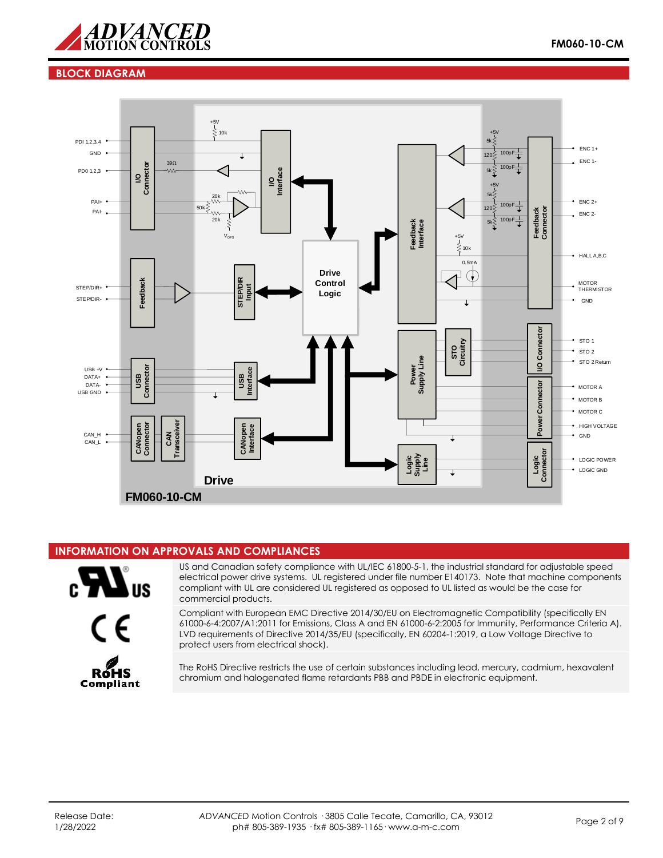

## **BLOCK DIAGRAM**



#### **INFORMATION ON APPROVALS AND COMPLIANCES**

![](_page_1_Picture_5.jpeg)

![](_page_1_Picture_6.jpeg)

US and Canadian safety compliance with UL/IEC 61800-5-1, the industrial standard for adjustable speed electrical power drive systems. UL registered under file number E140173. Note that machine components compliant with UL are considered UL registered as opposed to UL listed as would be the case for commercial products.

Compliant with European EMC Directive 2014/30/EU on Electromagnetic Compatibility (specifically EN 61000-6-4:2007/A1:2011 for Emissions, Class A and EN 61000-6-2:2005 for Immunity, Performance Criteria A). LVD requirements of Directive 2014/35/EU (specifically, EN 60204-1:2019, a Low Voltage Directive to protect users from electrical shock).

The RoHS Directive restricts the use of certain substances including lead, mercury, cadmium, hexavalent chromium and halogenated flame retardants PBB and PBDE in electronic equipment.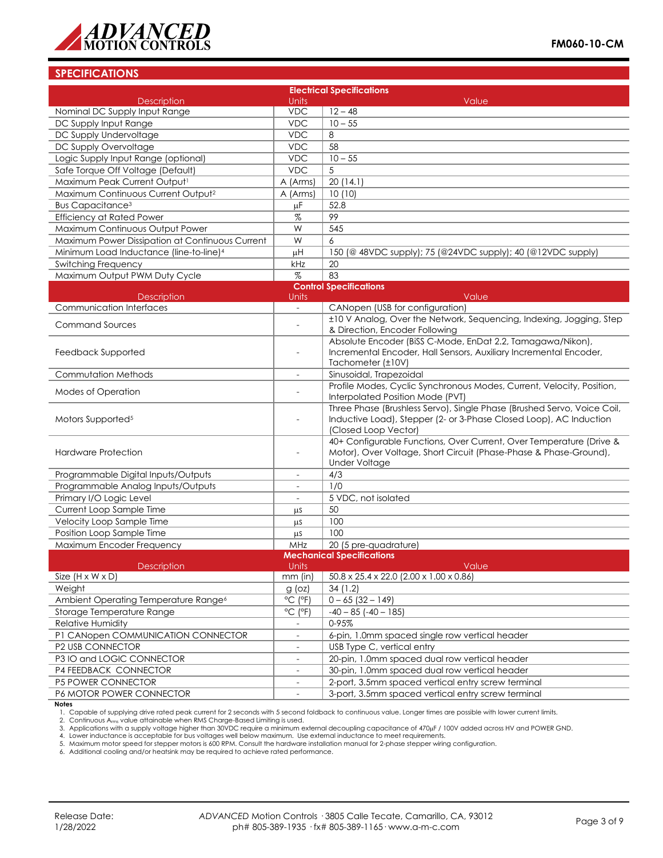![](_page_2_Picture_0.jpeg)

## **SPECIFICATIONS**

| <b>Electrical Specifications</b>                    |                              |                                                                                                                                               |  |
|-----------------------------------------------------|------------------------------|-----------------------------------------------------------------------------------------------------------------------------------------------|--|
| <b>Description</b>                                  | Units                        | Value                                                                                                                                         |  |
| Nominal DC Supply Input Range                       | <b>VDC</b>                   | $12 - 48$                                                                                                                                     |  |
| DC Supply Input Range                               | <b>VDC</b>                   | $10 - 55$                                                                                                                                     |  |
| DC Supply Undervoltage                              | <b>VDC</b>                   | 8                                                                                                                                             |  |
| DC Supply Overvoltage                               | <b>VDC</b>                   | 58                                                                                                                                            |  |
| Logic Supply Input Range (optional)                 | <b>VDC</b>                   | $10 - 55$                                                                                                                                     |  |
| Safe Torque Off Voltage (Default)                   | <b>VDC</b>                   | 5                                                                                                                                             |  |
| Maximum Peak Current Output1                        | A (Arms)                     | 20(14.1)                                                                                                                                      |  |
| Maximum Continuous Current Output <sup>2</sup>      | A (Arms)                     | 10(10)                                                                                                                                        |  |
| <b>Bus Capacitance<sup>3</sup></b>                  | μF                           | 52.8                                                                                                                                          |  |
| <b>Efficiency at Rated Power</b>                    | $\%$                         | 99                                                                                                                                            |  |
| Maximum Continuous Output Power                     | W                            | 545                                                                                                                                           |  |
| Maximum Power Dissipation at Continuous Current     | W                            | 6                                                                                                                                             |  |
| Minimum Load Inductance (line-to-line) <sup>4</sup> | μH                           | 150 (@ 48VDC supply); 75 (@24VDC supply); 40 (@12VDC supply)                                                                                  |  |
| <b>Switching Frequency</b>                          | kHz                          | 20                                                                                                                                            |  |
| Maximum Output PWM Duty Cycle                       | $\%$                         | 83                                                                                                                                            |  |
|                                                     |                              | <b>Control Specifications</b>                                                                                                                 |  |
| <b>Description</b>                                  | Units                        | Value                                                                                                                                         |  |
| Communication Interfaces                            | $\overline{\phantom{a}}$     | CANopen (USB for configuration)                                                                                                               |  |
| <b>Command Sources</b>                              |                              | ±10 V Analog, Over the Network, Sequencing, Indexing, Jogging, Step                                                                           |  |
|                                                     |                              | & Direction, Encoder Following<br>Absolute Encoder (BiSS C-Mode, EnDat 2.2, Tamagawa/Nikon),                                                  |  |
| Feedback Supported                                  |                              | Incremental Encoder, Hall Sensors, Auxiliary Incremental Encoder,                                                                             |  |
|                                                     |                              | Tachometer (±10V)                                                                                                                             |  |
| <b>Commutation Methods</b>                          | $\overline{\phantom{a}}$     | Sinusoidal, Trapezoidal                                                                                                                       |  |
|                                                     |                              | Profile Modes, Cyclic Synchronous Modes, Current, Velocity, Position,                                                                         |  |
| <b>Modes of Operation</b>                           | $\overline{a}$               | Interpolated Position Mode (PVT)                                                                                                              |  |
| Motors Supported <sup>5</sup>                       |                              | Three Phase (Brushless Servo), Single Phase (Brushed Servo, Voice Coil,<br>Inductive Load), Stepper (2- or 3-Phase Closed Loop), AC Induction |  |
|                                                     |                              | (Closed Loop Vector)                                                                                                                          |  |
|                                                     |                              | 40+ Configurable Functions, Over Current, Over Temperature (Drive &                                                                           |  |
| <b>Hardware Protection</b>                          | ÷,                           | Motor), Over Voltage, Short Circuit (Phase-Phase & Phase-Ground),<br><b>Under Voltage</b>                                                     |  |
| Programmable Digital Inputs/Outputs                 |                              | 4/3                                                                                                                                           |  |
| Programmable Analog Inputs/Outputs                  | $\overline{\phantom{a}}$     | 1/0                                                                                                                                           |  |
| Primary I/O Logic Level                             | $\overline{\phantom{a}}$     | 5 VDC, not isolated                                                                                                                           |  |
| Current Loop Sample Time                            | μS                           | 50                                                                                                                                            |  |
| Velocity Loop Sample Time                           | μS                           | 100                                                                                                                                           |  |
| Position Loop Sample Time                           | μs                           | 100                                                                                                                                           |  |
| Maximum Encoder Frequency                           | MHz                          | 20 (5 pre-quadrature)                                                                                                                         |  |
|                                                     |                              | <b>Mechanical Specifications</b>                                                                                                              |  |
| Description                                         | Units                        | Value                                                                                                                                         |  |
| Size $(H \times W \times D)$                        | mm (in)                      | $50.8 \times 25.4 \times 22.0$ (2.00 $\times$ 1.00 $\times$ 0.86)                                                                             |  |
| Weight                                              | $g$ (oz)                     | 34(1.2)                                                                                                                                       |  |
| Ambient Operating Temperature Range <sup>6</sup>    | $^{\circ}$ C ( $^{\circ}$ F) | $0 - 65$ (32 - 149)                                                                                                                           |  |
| Storage Temperature Range                           | $^{\circ}$ C ( $^{\circ}$ F) | $-40 - 85$ ( $-40 - 185$ )                                                                                                                    |  |
| Relative Humidity                                   | $\overline{\phantom{0}}$     | 0-95%                                                                                                                                         |  |
| P1 CANopen COMMUNICATION CONNECTOR                  | $\overline{\phantom{0}}$     | 6-pin, 1.0mm spaced single row vertical header                                                                                                |  |
| P2 USB CONNECTOR                                    |                              | USB Type C, vertical entry                                                                                                                    |  |
| P3 IO and LOGIC CONNECTOR                           | $\overline{\phantom{a}}$     | 20-pin, 1.0mm spaced dual row vertical header                                                                                                 |  |
| P4 FEEDBACK CONNECTOR                               |                              | 30-pin, 1.0mm spaced dual row vertical header                                                                                                 |  |
| P5 POWER CONNECTOR                                  |                              | 2-port, 3.5mm spaced vertical entry screw terminal                                                                                            |  |
| P6 MOTOR POWER CONNECTOR                            | $\overline{\phantom{a}}$     | 3-port, 3.5mm spaced vertical entry screw terminal                                                                                            |  |
| <b>Notes</b>                                        |                              |                                                                                                                                               |  |

**Notes** 1. Capable of supplying drive rated peak current for 2 seconds with 5 second foldback to continuous value. Longer times are possible with lower current limits.

2. Continuous Arms value attainable when RMS Charge-Based Limiting is used.

3. Applications with a supply voltage higher than 30VDC require a minimum external decoupling capacitance of 470µF / 100V added across HV and POWER GND.<br>4. Lower inductance is acceptable for bus voltages well below maximum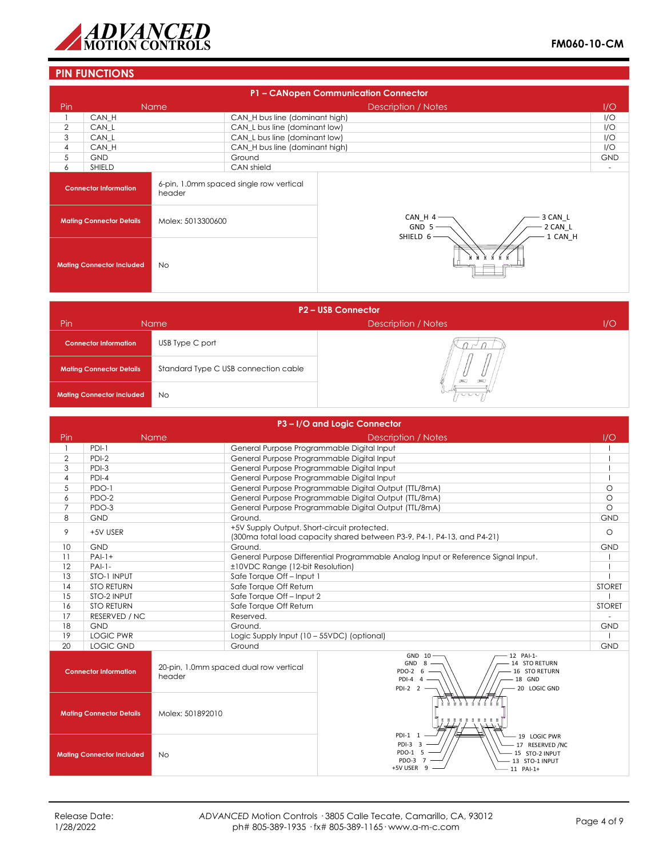![](_page_3_Picture_0.jpeg)

## **PIN FUNCTIONS**

|                                                                                   | P1 - CANopen Communication Connector |                   |                                |                                  |  |  |  |
|-----------------------------------------------------------------------------------|--------------------------------------|-------------------|--------------------------------|----------------------------------|--|--|--|
| Pin                                                                               |                                      | <b>Name</b>       | <b>Description / Notes</b>     | I/O                              |  |  |  |
|                                                                                   | CAN H                                |                   | CAN_H bus line (dominant high) | I/O                              |  |  |  |
| $\overline{2}$                                                                    | CAN L                                |                   | CAN_L bus line (dominant low)  | I/O                              |  |  |  |
| 3                                                                                 | CAN L                                |                   | CAN_L bus line (dominant low)  | I/O                              |  |  |  |
| 4                                                                                 | CAN H                                |                   | CAN_H bus line (dominant high) | I/O                              |  |  |  |
| 5                                                                                 | <b>GND</b>                           |                   | Ground                         | <b>GND</b>                       |  |  |  |
| 6                                                                                 | SHIELD                               |                   | CAN shield                     | $\overline{\phantom{a}}$         |  |  |  |
| 6-pin, 1.0mm spaced single row vertical<br><b>Connector Information</b><br>header |                                      |                   |                                |                                  |  |  |  |
| <b>Mating Connector Details</b>                                                   |                                      | Molex: 5013300600 | CAN_H 4<br>GND 5               | 3 CAN L<br>$-2$ CAN_L<br>1 CAN H |  |  |  |
|                                                                                   | <b>Mating Connector Included</b>     | <b>No</b>         | SHIELD 6                       |                                  |  |  |  |

| <b>P2-USB Connector</b>          |                                      |                            |     |  |  |  |  |
|----------------------------------|--------------------------------------|----------------------------|-----|--|--|--|--|
| Pin                              | Name                                 | <b>Description / Notes</b> | 1/O |  |  |  |  |
| <b>Connector Information</b>     | USB Type C port                      |                            |     |  |  |  |  |
| <b>Mating Connector Details</b>  | Standard Type C USB connection cable | <b>DEC</b><br><b>DALL</b>  |     |  |  |  |  |
| <b>Mating Connector Included</b> | <b>No</b>                            | nnn                        |     |  |  |  |  |

|                                                     | P3-I/O and Logic Connector   |                                                  |                                                                                                                                 |                                                                                                                                        |               |  |
|-----------------------------------------------------|------------------------------|--------------------------------------------------|---------------------------------------------------------------------------------------------------------------------------------|----------------------------------------------------------------------------------------------------------------------------------------|---------------|--|
| Pin                                                 |                              | <b>Name</b>                                      |                                                                                                                                 | <b>Description / Notes</b>                                                                                                             | 1/O           |  |
| $\mathbf{1}$                                        | $PDI-1$                      |                                                  | General Purpose Programmable Digital Input                                                                                      |                                                                                                                                        |               |  |
| $\overline{2}$                                      | $PDI-2$                      |                                                  | General Purpose Programmable Digital Input                                                                                      |                                                                                                                                        |               |  |
| 3                                                   | PDI-3                        |                                                  |                                                                                                                                 | General Purpose Programmable Digital Input                                                                                             |               |  |
| $\overline{4}$                                      | $PDI-4$                      |                                                  |                                                                                                                                 | General Purpose Programmable Digital Input                                                                                             |               |  |
| 5                                                   | PDO-1                        |                                                  |                                                                                                                                 | General Purpose Programmable Digital Output (TTL/8mA)                                                                                  | $\Omega$      |  |
| 6                                                   | PDO-2                        |                                                  |                                                                                                                                 | General Purpose Programmable Digital Output (TTL/8mA)                                                                                  | $\circ$       |  |
| $\overline{7}$                                      | PDO-3                        |                                                  |                                                                                                                                 | General Purpose Programmable Digital Output (TTL/8mA)                                                                                  | $\circ$       |  |
| 8                                                   | <b>GND</b>                   |                                                  | Ground.                                                                                                                         |                                                                                                                                        | <b>GND</b>    |  |
| 9                                                   | +5V USER                     |                                                  | +5V Supply Output. Short-circuit protected.                                                                                     | (300ma total load capacity shared between P3-9, P4-1, P4-13, and P4-21)                                                                | $\circ$       |  |
| 10                                                  | <b>GND</b>                   |                                                  | Ground.                                                                                                                         |                                                                                                                                        | <b>GND</b>    |  |
| 11                                                  | $PAI-1+$                     |                                                  |                                                                                                                                 | General Purpose Differential Programmable Analog Input or Reference Signal Input.                                                      |               |  |
| 12                                                  | $PAI-1-$                     |                                                  | ±10VDC Range (12-bit Resolution)                                                                                                |                                                                                                                                        |               |  |
| 13                                                  | STO-1 INPUT                  |                                                  | Safe Torque Off-Input 1                                                                                                         |                                                                                                                                        |               |  |
| 14                                                  | <b>STO RETURN</b>            |                                                  | Safe Torque Off Return                                                                                                          |                                                                                                                                        |               |  |
| 15                                                  | STO-2 INPUT                  |                                                  | Safe Torque Off-Input 2                                                                                                         |                                                                                                                                        |               |  |
|                                                     | <b>STO RETURN</b><br>16      |                                                  | Safe Torque Off Return                                                                                                          |                                                                                                                                        | <b>STORET</b> |  |
| 17                                                  | RESERVED / NC                |                                                  | Reserved.                                                                                                                       |                                                                                                                                        |               |  |
| 18                                                  | <b>GND</b>                   |                                                  | Ground.                                                                                                                         |                                                                                                                                        | <b>GND</b>    |  |
| 19                                                  | <b>LOGIC PWR</b>             |                                                  | Logic Supply Input (10 - 55VDC) (optional)                                                                                      |                                                                                                                                        |               |  |
| 20                                                  | LOGIC GND                    |                                                  | Ground                                                                                                                          |                                                                                                                                        | GND           |  |
|                                                     | <b>Connector Information</b> | 20-pin, 1.0mm spaced dual row vertical<br>header |                                                                                                                                 | 12 PAI-1-<br>GND 10<br>GND <sub>8</sub><br>14 STO RETURN<br>PDO-2 6<br>16 STO RETURN<br>$PDI-4$ 4<br>18 GND<br>20 LOGIC GND<br>PDI-2 2 |               |  |
| <b>Mating Connector Details</b><br>Molex: 501892010 |                              |                                                  | PDI-1 1                                                                                                                         |                                                                                                                                        |               |  |
| <b>No</b><br><b>Mating Connector Included</b>       |                              |                                                  | 19 LOGIC PWR<br>PDI-3 3<br>- 17 RESERVED /NC<br>PDO-1 5<br>15 STO-2 INPUT<br>PDO-3<br>13 STO-1 INPUT<br>+5V USER 9<br>11 PAI-1+ |                                                                                                                                        |               |  |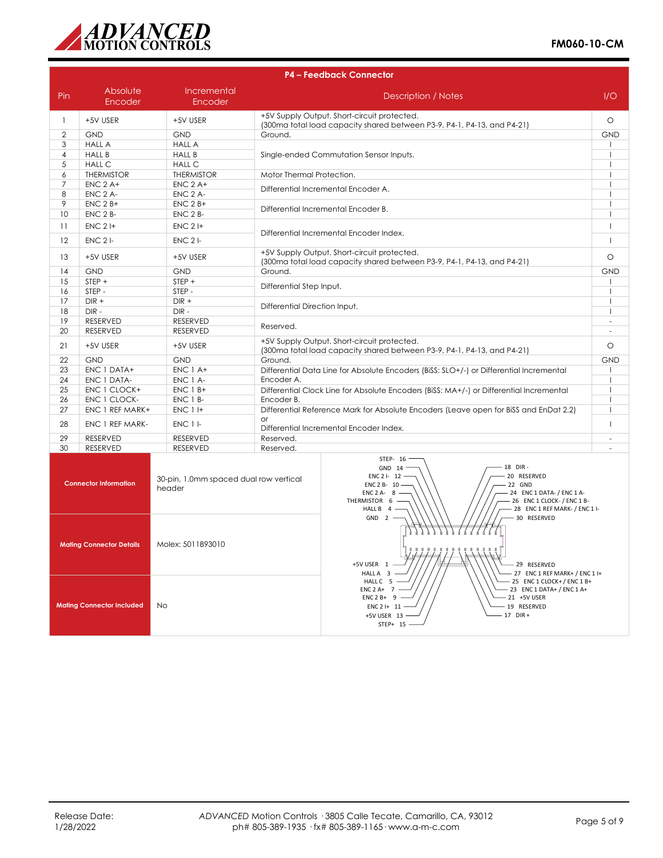![](_page_4_Picture_0.jpeg)

|                                                                                                       | <b>P4 - Feedback Connector</b> |                        |                                                                                                                                                                                                                                             |                                                                                                                        |              |
|-------------------------------------------------------------------------------------------------------|--------------------------------|------------------------|---------------------------------------------------------------------------------------------------------------------------------------------------------------------------------------------------------------------------------------------|------------------------------------------------------------------------------------------------------------------------|--------------|
| Pin                                                                                                   | Absolute<br>Encoder            | Incremental<br>Encoder |                                                                                                                                                                                                                                             | Description / Notes                                                                                                    | 1/O          |
| $\mathbf{1}$                                                                                          | +5V USER                       | +5V USER               | +5V Supply Output. Short-circuit protected.<br>(300ma total load capacity shared between P3-9, P4-1, P4-13, and P4-21)                                                                                                                      |                                                                                                                        | $\circ$      |
| $\overline{2}$                                                                                        | <b>GND</b>                     | <b>GND</b>             | Ground.                                                                                                                                                                                                                                     |                                                                                                                        | <b>GND</b>   |
| 3                                                                                                     | <b>HALL A</b>                  | <b>HALL A</b>          |                                                                                                                                                                                                                                             |                                                                                                                        |              |
| $\overline{4}$                                                                                        | <b>HALL B</b>                  | <b>HALL B</b>          |                                                                                                                                                                                                                                             | Single-ended Commutation Sensor Inputs.                                                                                |              |
| 5                                                                                                     | <b>HALL C</b>                  | <b>HALL C</b>          |                                                                                                                                                                                                                                             |                                                                                                                        | $\mathbf{I}$ |
| 6                                                                                                     | <b>THERMISTOR</b>              | <b>THERMISTOR</b>      | Motor Thermal Protection.                                                                                                                                                                                                                   |                                                                                                                        |              |
| 7                                                                                                     | $ENC$ 2 A+                     | $ENC$ 2 A+             | Differential Incremental Encoder A.                                                                                                                                                                                                         |                                                                                                                        | ı            |
| 8                                                                                                     | ENC 2 A-                       | ENC 2 A-               |                                                                                                                                                                                                                                             |                                                                                                                        |              |
| 9                                                                                                     | $ENC$ 2 $B+$                   | $ENC$ 2 $B+$           | Differential Incremental Encoder B.                                                                                                                                                                                                         |                                                                                                                        |              |
| 10                                                                                                    | ENC 2 B-                       | $ENC$ 2 $B-$           |                                                                                                                                                                                                                                             |                                                                                                                        | $\mathbf{I}$ |
| 11                                                                                                    | $ENC$ 2 I+                     | $ENC$ 2 $H$            |                                                                                                                                                                                                                                             | Differential Incremental Encoder Index.                                                                                | $\mathbf{I}$ |
| 12                                                                                                    | $ENC$ 2 $I$ -                  | $ENC$ 2 $\vdash$       |                                                                                                                                                                                                                                             |                                                                                                                        | $\mathbf{I}$ |
| 13                                                                                                    | +5V USER                       | +5V USER               |                                                                                                                                                                                                                                             | +5V Supply Output. Short-circuit protected.<br>(300ma total load capacity shared between P3-9, P4-1, P4-13, and P4-21) | $\circ$      |
| 14                                                                                                    | <b>GND</b>                     | <b>GND</b>             | Ground.                                                                                                                                                                                                                                     |                                                                                                                        | <b>GND</b>   |
| 15                                                                                                    | STEP +                         | STEP +                 | Differential Step Input.                                                                                                                                                                                                                    |                                                                                                                        |              |
| 16                                                                                                    | STEP-                          | STEP-                  |                                                                                                                                                                                                                                             |                                                                                                                        | $\mathbf{I}$ |
| 17                                                                                                    | $DIR +$                        | $DIR +$                | Differential Direction Input.                                                                                                                                                                                                               |                                                                                                                        | $\mathbf{I}$ |
| 18                                                                                                    | DIR-                           | DIR-                   |                                                                                                                                                                                                                                             |                                                                                                                        | $\mathbf{I}$ |
| 19                                                                                                    | <b>RESERVED</b>                | <b>RESERVED</b>        | Reserved.                                                                                                                                                                                                                                   |                                                                                                                        | $\sim$       |
| 20                                                                                                    | RESERVED                       | <b>RESERVED</b>        |                                                                                                                                                                                                                                             |                                                                                                                        | $\sim$       |
| 21                                                                                                    | +5V USER                       | +5V USER               | +5V Supply Output, Short-circuit protected.<br>(300ma total load capacity shared between P3-9, P4-1, P4-13, and P4-21)                                                                                                                      |                                                                                                                        | $\circ$      |
| 22                                                                                                    | <b>GND</b>                     | <b>GND</b>             | Ground.                                                                                                                                                                                                                                     |                                                                                                                        | <b>GND</b>   |
| 23                                                                                                    | ENC 1 DATA+                    | ENC 1 A+               |                                                                                                                                                                                                                                             | Differential Data Line for Absolute Encoders (BiSS: SLO+/-) or Differential Incremental                                | $\mathbf{I}$ |
| 24                                                                                                    | ENC 1 DATA-                    | ENC 1 A-               | Encoder A.                                                                                                                                                                                                                                  |                                                                                                                        | $\mathbf{I}$ |
| 25                                                                                                    | ENC 1 CLOCK+                   | $ENC$ 1 $B+$           |                                                                                                                                                                                                                                             | Differential Clock Line for Absolute Encoders (BiSS: MA+/-) or Differential Incremental                                | $\mathbf{I}$ |
| 26                                                                                                    | ENC 1 CLOCK-                   | ENC 1 B-               | Encoder B.                                                                                                                                                                                                                                  |                                                                                                                        | $\mathbf{I}$ |
| 27                                                                                                    | ENC 1 REF MARK+                | <b>ENC 1 I+</b>        |                                                                                                                                                                                                                                             | Differential Reference Mark for Absolute Encoders (Leave open for BiSS and EnDat 2.2)                                  | $\mathbf{I}$ |
| 28                                                                                                    | ENC 1 REF MARK-                | ENC 1 I-               | $\alpha$ r                                                                                                                                                                                                                                  | Differential Incremental Encoder Index.                                                                                | $\mathbf{I}$ |
| 29                                                                                                    | <b>RESERVED</b>                | <b>RESERVED</b>        | Reserved.                                                                                                                                                                                                                                   |                                                                                                                        | $\sim$       |
| 30                                                                                                    | <b>RESERVED</b>                | RESERVED               | Reserved.                                                                                                                                                                                                                                   |                                                                                                                        | ÷.           |
| 30-pin, 1.0mm spaced dual row vertical<br><b>Connector Information</b><br>header                      |                                |                        | STEP- 16<br>18 DIR-<br>GND 14 -<br>20 RESERVED<br>ENC 2 I- 12 -<br>ENC 2 B- 10<br>22 GND<br>ENC $2A - 8$ -<br>24 ENC 1 DATA- / ENC 1 A-<br>- 26 ENC 1 CLOCK- / ENC 1 B-<br>THERMISTOR 6 -<br>- 28 ENC 1 REF MARK- / ENC 1 I-<br>HALL B $4-$ |                                                                                                                        |              |
| <b>Mating Connector Details</b><br>Molex: 5011893010<br><b>Mating Connector Included</b><br><b>No</b> |                                |                        | $GND$ 2 -<br>- 30 RESERVED<br><b>6 6 6 6 6 6</b><br>में में में मे<br>$\blacksquare$<br>$\blacksquare$<br>- 29 RESERVED<br>+5V USER 1<br>HALL A 3                                                                                           |                                                                                                                        |              |
|                                                                                                       |                                |                        | - 27 ENC 1 REF MARK+ / ENC 1 I+<br>HALL C 5 -<br>25 ENC 1 CLOCK+/ENC 1 B+<br>- 23 ENC 1 DATA+ / ENC 1 A+<br>$ENC 2 A+ 7$<br>$ENC2B+ 9 -$<br>- 21 +5V USER<br>$ENC 2 1 + 11 -$<br>- 19 RESERVED<br>+5V LISER 13<br>$17$ DIR +                |                                                                                                                        |              |

STEP+ 15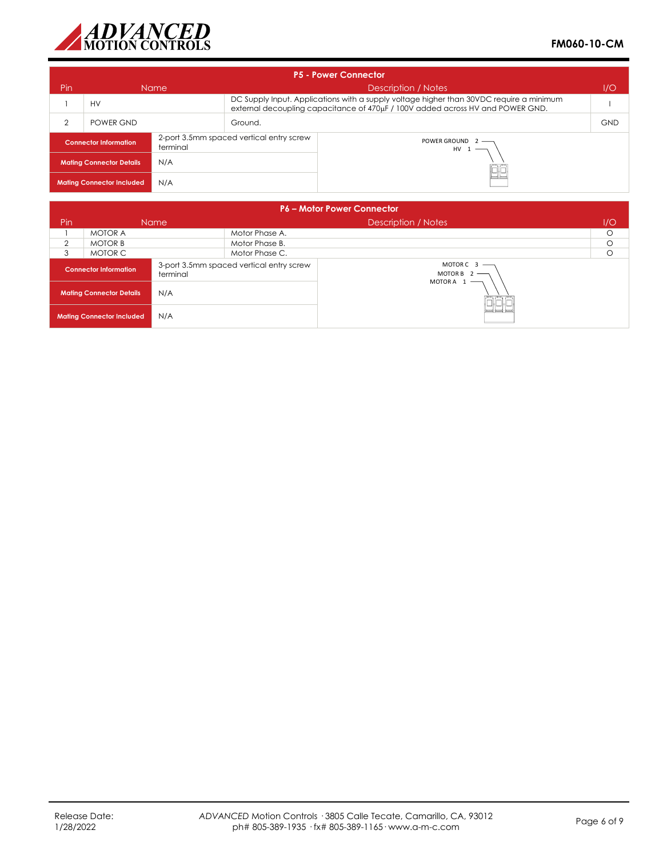![](_page_5_Picture_0.jpeg)

| <b>P5 - Power Connector</b>              |           |                                          |                                                                                                                                                                           |     |            |  |
|------------------------------------------|-----------|------------------------------------------|---------------------------------------------------------------------------------------------------------------------------------------------------------------------------|-----|------------|--|
| Pin<br><b>Name</b>                       |           |                                          | Description / Notes                                                                                                                                                       | 1/O |            |  |
| <b>HV</b>                                |           |                                          | DC Supply Input. Applications with a supply voltage higher than 30VDC require a minimum<br>external decoupling capacitance of 470µF / 100V added across HV and POWER GND. |     |            |  |
| $\overline{2}$                           | POWER GND | Ground.                                  |                                                                                                                                                                           |     | <b>GND</b> |  |
| <b>Connector Information</b><br>terminal |           | 2-port 3.5mm spaced vertical entry screw | POWER GROUND 2 -<br>$HV 1$ —                                                                                                                                              |     |            |  |
| N/A<br><b>Mating Connector Details</b>   |           |                                          |                                                                                                                                                                           |     |            |  |
| N/A<br><b>Mating Connector Included</b>  |           |                                          | $=$ $=$                                                                                                                                                                   |     |            |  |

| <b>P6 - Motor Power Connector</b>        |                |                                          |                                                |     |   |
|------------------------------------------|----------------|------------------------------------------|------------------------------------------------|-----|---|
| Pin<br>Name                              |                |                                          | Description / Notes                            | 1/O |   |
|                                          | <b>MOTOR A</b> |                                          | Motor Phase A.                                 |     | Ω |
| 2                                        | <b>MOTOR B</b> |                                          | Motor Phase B.                                 |     |   |
| 3                                        | MOTOR C        |                                          | Motor Phase C.                                 |     | О |
| <b>Connector Information</b><br>terminal |                | 3-port 3.5mm spaced vertical entry screw | $MOTORC$ 3 —<br>MOTOR B $2$ ––<br>MOTORA $1$ – |     |   |
| N/A<br><b>Mating Connector Details</b>   |                |                                          |                                                |     |   |
| N/A<br><b>Mating Connector Included</b>  |                |                                          | $\overline{\phantom{a}}$                       |     |   |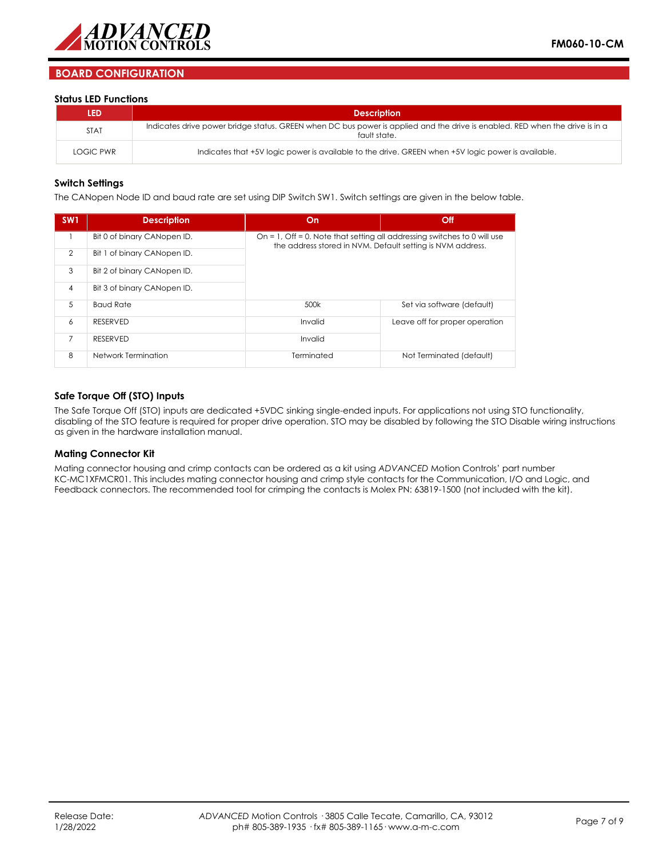![](_page_6_Picture_0.jpeg)

## **BOARD CONFIGURATION**

#### **Status LED Functions**

| LED              | <b>Description</b>                                                                                                                          |
|------------------|---------------------------------------------------------------------------------------------------------------------------------------------|
| <b>STAT</b>      | Indicates drive power bridge status. GREEN when DC bus power is applied and the drive is enabled. RED when the drive is in a<br>fault state |
| <b>LOGIC PWR</b> | Indicates that +5V logic power is available to the drive. GREEN when +5V logic power is available.                                          |

#### **Switch Settings**

The CANopen Node ID and baud rate are set using DIP Switch SW1. Switch settings are given in the below table.

| SW <sub>1</sub> | <b>Description</b>          | On                                                                                                                                     | Off                            |  |  |  |
|-----------------|-----------------------------|----------------------------------------------------------------------------------------------------------------------------------------|--------------------------------|--|--|--|
|                 | Bit 0 of binary CANopen ID. | On = 1, Off = 0. Note that setting all addressing switches to 0 will use<br>the address stored in NVM. Default setting is NVM address. |                                |  |  |  |
| $\overline{2}$  | Bit 1 of binary CANopen ID. |                                                                                                                                        |                                |  |  |  |
| 3               | Bit 2 of binary CANopen ID. |                                                                                                                                        |                                |  |  |  |
| $\overline{4}$  | Bit 3 of binary CANopen ID. |                                                                                                                                        |                                |  |  |  |
| 5               | <b>Baud Rate</b>            | 500k                                                                                                                                   | Set via software (default)     |  |  |  |
| 6               | <b>RESERVED</b>             | Invalid                                                                                                                                | Leave off for proper operation |  |  |  |
| $\overline{7}$  | <b>RESERVED</b>             | Invalid                                                                                                                                |                                |  |  |  |
| 8               | Network Termination         | Terminated                                                                                                                             | Not Terminated (default)       |  |  |  |

#### **Safe Torque Off (STO) Inputs**

The Safe Torque Off (STO) inputs are dedicated +5VDC sinking single-ended inputs. For applications not using STO functionality, disabling of the STO feature is required for proper drive operation. STO may be disabled by following the STO Disable wiring instructions as given in the hardware installation manual.

#### **Mating Connector Kit**

Mating connector housing and crimp contacts can be ordered as a kit using *ADVANCED* Motion Controls' part number KC-MC1XFMCR01. This includes mating connector housing and crimp style contacts for the Communication, I/O and Logic, and Feedback connectors. The recommended tool for crimping the contacts is Molex PN: 63819-1500 (not included with the kit).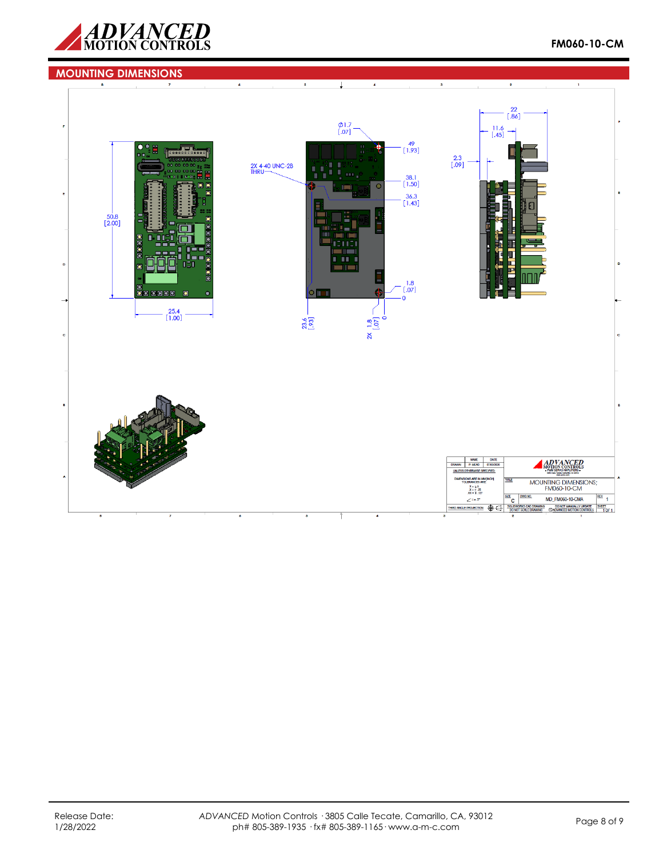![](_page_7_Picture_0.jpeg)

![](_page_7_Figure_2.jpeg)